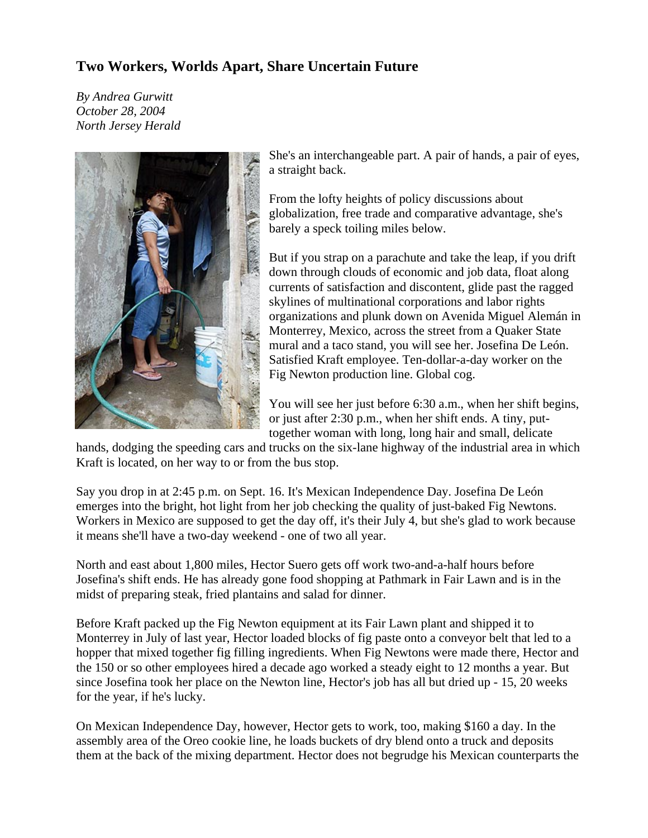## **Two Workers, Worlds Apart, Share Uncertain Future**

*By Andrea Gurwitt October 28, 2004 North Jersey Herald* 



She's an interchangeable part. A pair of hands, a pair of eyes, a straight back.

From the lofty heights of policy discussions about globalization, free trade and comparative advantage, she's barely a speck toiling miles below.

But if you strap on a parachute and take the leap, if you drift down through clouds of economic and job data, float along currents of satisfaction and discontent, glide past the ragged skylines of multinational corporations and labor rights organizations and plunk down on Avenida Miguel Alemán in Monterrey, Mexico, across the street from a Quaker State mural and a taco stand, you will see her. Josefina De León. Satisfied Kraft employee. Ten-dollar-a-day worker on the Fig Newton production line. Global cog.

You will see her just before 6:30 a.m., when her shift begins, or just after 2:30 p.m., when her shift ends. A tiny, puttogether woman with long, long hair and small, delicate

hands, dodging the speeding cars and trucks on the six-lane highway of the industrial area in which Kraft is located, on her way to or from the bus stop.

Say you drop in at 2:45 p.m. on Sept. 16. It's Mexican Independence Day. Josefina De León emerges into the bright, hot light from her job checking the quality of just-baked Fig Newtons. Workers in Mexico are supposed to get the day off, it's their July 4, but she's glad to work because it means she'll have a two-day weekend - one of two all year.

North and east about 1,800 miles, Hector Suero gets off work two-and-a-half hours before Josefina's shift ends. He has already gone food shopping at Pathmark in Fair Lawn and is in the midst of preparing steak, fried plantains and salad for dinner.

Before Kraft packed up the Fig Newton equipment at its Fair Lawn plant and shipped it to Monterrey in July of last year, Hector loaded blocks of fig paste onto a conveyor belt that led to a hopper that mixed together fig filling ingredients. When Fig Newtons were made there, Hector and the 150 or so other employees hired a decade ago worked a steady eight to 12 months a year. But since Josefina took her place on the Newton line, Hector's job has all but dried up - 15, 20 weeks for the year, if he's lucky.

On Mexican Independence Day, however, Hector gets to work, too, making \$160 a day. In the assembly area of the Oreo cookie line, he loads buckets of dry blend onto a truck and deposits them at the back of the mixing department. Hector does not begrudge his Mexican counterparts the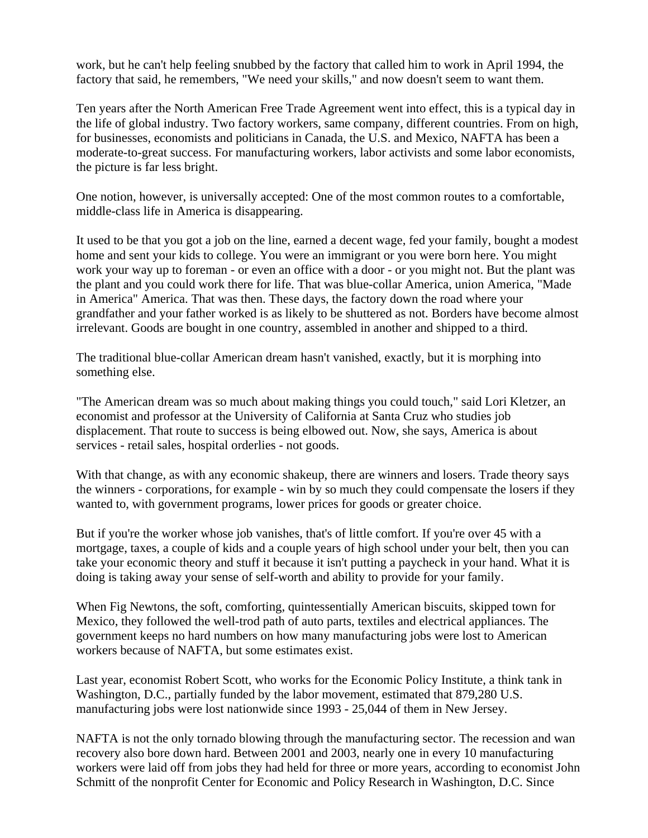work, but he can't help feeling snubbed by the factory that called him to work in April 1994, the factory that said, he remembers, "We need your skills," and now doesn't seem to want them.

Ten years after the North American Free Trade Agreement went into effect, this is a typical day in the life of global industry. Two factory workers, same company, different countries. From on high, for businesses, economists and politicians in Canada, the U.S. and Mexico, NAFTA has been a moderate-to-great success. For manufacturing workers, labor activists and some labor economists, the picture is far less bright.

One notion, however, is universally accepted: One of the most common routes to a comfortable, middle-class life in America is disappearing.

It used to be that you got a job on the line, earned a decent wage, fed your family, bought a modest home and sent your kids to college. You were an immigrant or you were born here. You might work your way up to foreman - or even an office with a door - or you might not. But the plant was the plant and you could work there for life. That was blue-collar America, union America, "Made in America" America. That was then. These days, the factory down the road where your grandfather and your father worked is as likely to be shuttered as not. Borders have become almost irrelevant. Goods are bought in one country, assembled in another and shipped to a third.

The traditional blue-collar American dream hasn't vanished, exactly, but it is morphing into something else.

"The American dream was so much about making things you could touch," said Lori Kletzer, an economist and professor at the University of California at Santa Cruz who studies job displacement. That route to success is being elbowed out. Now, she says, America is about services - retail sales, hospital orderlies - not goods.

With that change, as with any economic shakeup, there are winners and losers. Trade theory says the winners - corporations, for example - win by so much they could compensate the losers if they wanted to, with government programs, lower prices for goods or greater choice.

But if you're the worker whose job vanishes, that's of little comfort. If you're over 45 with a mortgage, taxes, a couple of kids and a couple years of high school under your belt, then you can take your economic theory and stuff it because it isn't putting a paycheck in your hand. What it is doing is taking away your sense of self-worth and ability to provide for your family.

When Fig Newtons, the soft, comforting, quintessentially American biscuits, skipped town for Mexico, they followed the well-trod path of auto parts, textiles and electrical appliances. The government keeps no hard numbers on how many manufacturing jobs were lost to American workers because of NAFTA, but some estimates exist.

Last year, economist Robert Scott, who works for the Economic Policy Institute, a think tank in Washington, D.C., partially funded by the labor movement, estimated that 879,280 U.S. manufacturing jobs were lost nationwide since 1993 - 25,044 of them in New Jersey.

NAFTA is not the only tornado blowing through the manufacturing sector. The recession and wan recovery also bore down hard. Between 2001 and 2003, nearly one in every 10 manufacturing workers were laid off from jobs they had held for three or more years, according to economist John Schmitt of the nonprofit Center for Economic and Policy Research in Washington, D.C. Since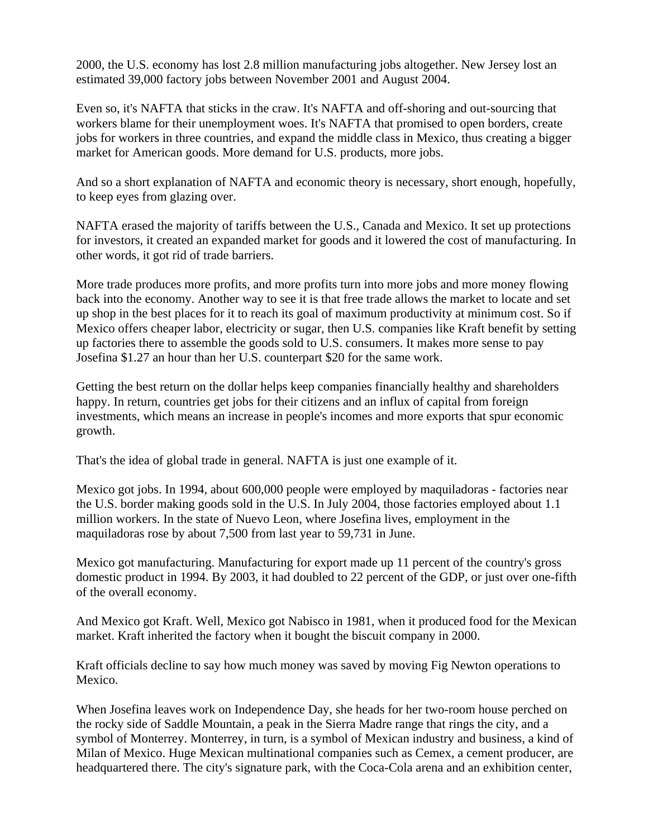2000, the U.S. economy has lost 2.8 million manufacturing jobs altogether. New Jersey lost an estimated 39,000 factory jobs between November 2001 and August 2004.

Even so, it's NAFTA that sticks in the craw. It's NAFTA and off-shoring and out-sourcing that workers blame for their unemployment woes. It's NAFTA that promised to open borders, create jobs for workers in three countries, and expand the middle class in Mexico, thus creating a bigger market for American goods. More demand for U.S. products, more jobs.

And so a short explanation of NAFTA and economic theory is necessary, short enough, hopefully, to keep eyes from glazing over.

NAFTA erased the majority of tariffs between the U.S., Canada and Mexico. It set up protections for investors, it created an expanded market for goods and it lowered the cost of manufacturing. In other words, it got rid of trade barriers.

More trade produces more profits, and more profits turn into more jobs and more money flowing back into the economy. Another way to see it is that free trade allows the market to locate and set up shop in the best places for it to reach its goal of maximum productivity at minimum cost. So if Mexico offers cheaper labor, electricity or sugar, then U.S. companies like Kraft benefit by setting up factories there to assemble the goods sold to U.S. consumers. It makes more sense to pay Josefina \$1.27 an hour than her U.S. counterpart \$20 for the same work.

Getting the best return on the dollar helps keep companies financially healthy and shareholders happy. In return, countries get jobs for their citizens and an influx of capital from foreign investments, which means an increase in people's incomes and more exports that spur economic growth.

That's the idea of global trade in general. NAFTA is just one example of it.

Mexico got jobs. In 1994, about 600,000 people were employed by maquiladoras - factories near the U.S. border making goods sold in the U.S. In July 2004, those factories employed about 1.1 million workers. In the state of Nuevo Leon, where Josefina lives, employment in the maquiladoras rose by about 7,500 from last year to 59,731 in June.

Mexico got manufacturing. Manufacturing for export made up 11 percent of the country's gross domestic product in 1994. By 2003, it had doubled to 22 percent of the GDP, or just over one-fifth of the overall economy.

And Mexico got Kraft. Well, Mexico got Nabisco in 1981, when it produced food for the Mexican market. Kraft inherited the factory when it bought the biscuit company in 2000.

Kraft officials decline to say how much money was saved by moving Fig Newton operations to Mexico.

When Josefina leaves work on Independence Day, she heads for her two-room house perched on the rocky side of Saddle Mountain, a peak in the Sierra Madre range that rings the city, and a symbol of Monterrey. Monterrey, in turn, is a symbol of Mexican industry and business, a kind of Milan of Mexico. Huge Mexican multinational companies such as Cemex, a cement producer, are headquartered there. The city's signature park, with the Coca-Cola arena and an exhibition center,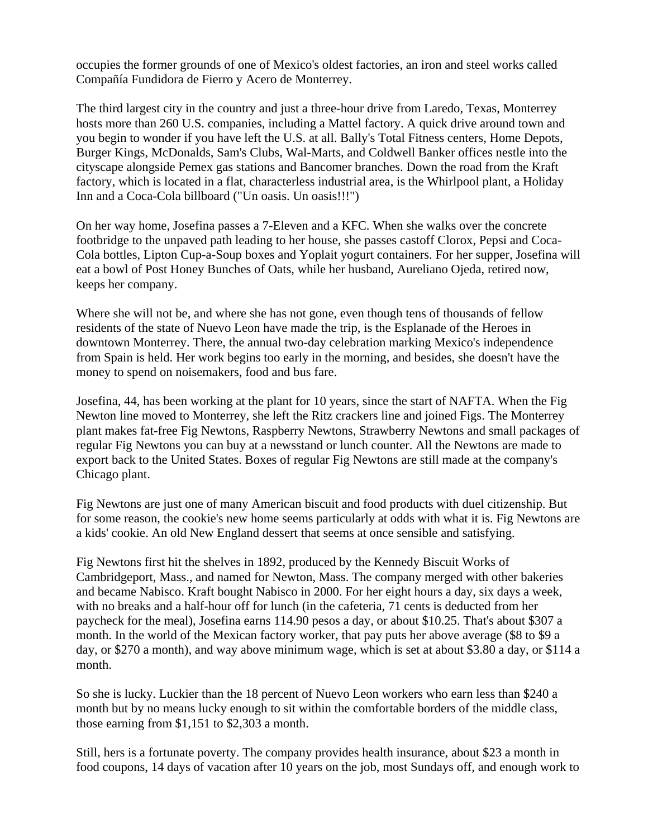occupies the former grounds of one of Mexico's oldest factories, an iron and steel works called Compañía Fundidora de Fierro y Acero de Monterrey.

The third largest city in the country and just a three-hour drive from Laredo, Texas, Monterrey hosts more than 260 U.S. companies, including a Mattel factory. A quick drive around town and you begin to wonder if you have left the U.S. at all. Bally's Total Fitness centers, Home Depots, Burger Kings, McDonalds, Sam's Clubs, Wal-Marts, and Coldwell Banker offices nestle into the cityscape alongside Pemex gas stations and Bancomer branches. Down the road from the Kraft factory, which is located in a flat, characterless industrial area, is the Whirlpool plant, a Holiday Inn and a Coca-Cola billboard ("Un oasis. Un oasis!!!")

On her way home, Josefina passes a 7-Eleven and a KFC. When she walks over the concrete footbridge to the unpaved path leading to her house, she passes castoff Clorox, Pepsi and Coca-Cola bottles, Lipton Cup-a-Soup boxes and Yoplait yogurt containers. For her supper, Josefina will eat a bowl of Post Honey Bunches of Oats, while her husband, Aureliano Ojeda, retired now, keeps her company.

Where she will not be, and where she has not gone, even though tens of thousands of fellow residents of the state of Nuevo Leon have made the trip, is the Esplanade of the Heroes in downtown Monterrey. There, the annual two-day celebration marking Mexico's independence from Spain is held. Her work begins too early in the morning, and besides, she doesn't have the money to spend on noisemakers, food and bus fare.

Josefina, 44, has been working at the plant for 10 years, since the start of NAFTA. When the Fig Newton line moved to Monterrey, she left the Ritz crackers line and joined Figs. The Monterrey plant makes fat-free Fig Newtons, Raspberry Newtons, Strawberry Newtons and small packages of regular Fig Newtons you can buy at a newsstand or lunch counter. All the Newtons are made to export back to the United States. Boxes of regular Fig Newtons are still made at the company's Chicago plant.

Fig Newtons are just one of many American biscuit and food products with duel citizenship. But for some reason, the cookie's new home seems particularly at odds with what it is. Fig Newtons are a kids' cookie. An old New England dessert that seems at once sensible and satisfying.

Fig Newtons first hit the shelves in 1892, produced by the Kennedy Biscuit Works of Cambridgeport, Mass., and named for Newton, Mass. The company merged with other bakeries and became Nabisco. Kraft bought Nabisco in 2000. For her eight hours a day, six days a week, with no breaks and a half-hour off for lunch (in the cafeteria, 71 cents is deducted from her paycheck for the meal), Josefina earns 114.90 pesos a day, or about \$10.25. That's about \$307 a month. In the world of the Mexican factory worker, that pay puts her above average (\$8 to \$9 a day, or \$270 a month), and way above minimum wage, which is set at about \$3.80 a day, or \$114 a month.

So she is lucky. Luckier than the 18 percent of Nuevo Leon workers who earn less than \$240 a month but by no means lucky enough to sit within the comfortable borders of the middle class, those earning from \$1,151 to \$2,303 a month.

Still, hers is a fortunate poverty. The company provides health insurance, about \$23 a month in food coupons, 14 days of vacation after 10 years on the job, most Sundays off, and enough work to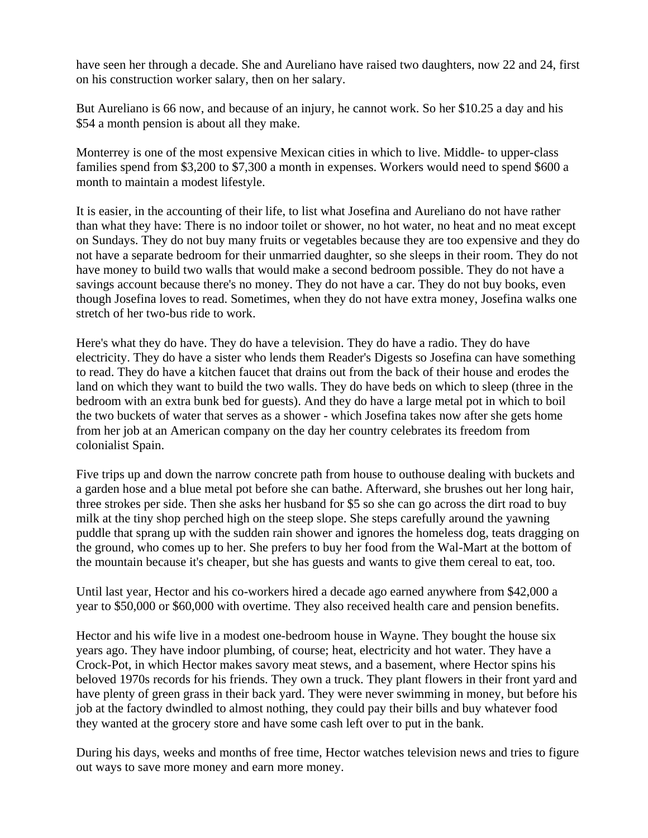have seen her through a decade. She and Aureliano have raised two daughters, now 22 and 24, first on his construction worker salary, then on her salary.

But Aureliano is 66 now, and because of an injury, he cannot work. So her \$10.25 a day and his \$54 a month pension is about all they make.

Monterrey is one of the most expensive Mexican cities in which to live. Middle- to upper-class families spend from \$3,200 to \$7,300 a month in expenses. Workers would need to spend \$600 a month to maintain a modest lifestyle.

It is easier, in the accounting of their life, to list what Josefina and Aureliano do not have rather than what they have: There is no indoor toilet or shower, no hot water, no heat and no meat except on Sundays. They do not buy many fruits or vegetables because they are too expensive and they do not have a separate bedroom for their unmarried daughter, so she sleeps in their room. They do not have money to build two walls that would make a second bedroom possible. They do not have a savings account because there's no money. They do not have a car. They do not buy books, even though Josefina loves to read. Sometimes, when they do not have extra money, Josefina walks one stretch of her two-bus ride to work.

Here's what they do have. They do have a television. They do have a radio. They do have electricity. They do have a sister who lends them Reader's Digests so Josefina can have something to read. They do have a kitchen faucet that drains out from the back of their house and erodes the land on which they want to build the two walls. They do have beds on which to sleep (three in the bedroom with an extra bunk bed for guests). And they do have a large metal pot in which to boil the two buckets of water that serves as a shower - which Josefina takes now after she gets home from her job at an American company on the day her country celebrates its freedom from colonialist Spain.

Five trips up and down the narrow concrete path from house to outhouse dealing with buckets and a garden hose and a blue metal pot before she can bathe. Afterward, she brushes out her long hair, three strokes per side. Then she asks her husband for \$5 so she can go across the dirt road to buy milk at the tiny shop perched high on the steep slope. She steps carefully around the yawning puddle that sprang up with the sudden rain shower and ignores the homeless dog, teats dragging on the ground, who comes up to her. She prefers to buy her food from the Wal-Mart at the bottom of the mountain because it's cheaper, but she has guests and wants to give them cereal to eat, too.

Until last year, Hector and his co-workers hired a decade ago earned anywhere from \$42,000 a year to \$50,000 or \$60,000 with overtime. They also received health care and pension benefits.

Hector and his wife live in a modest one-bedroom house in Wayne. They bought the house six years ago. They have indoor plumbing, of course; heat, electricity and hot water. They have a Crock-Pot, in which Hector makes savory meat stews, and a basement, where Hector spins his beloved 1970s records for his friends. They own a truck. They plant flowers in their front yard and have plenty of green grass in their back yard. They were never swimming in money, but before his job at the factory dwindled to almost nothing, they could pay their bills and buy whatever food they wanted at the grocery store and have some cash left over to put in the bank.

During his days, weeks and months of free time, Hector watches television news and tries to figure out ways to save more money and earn more money.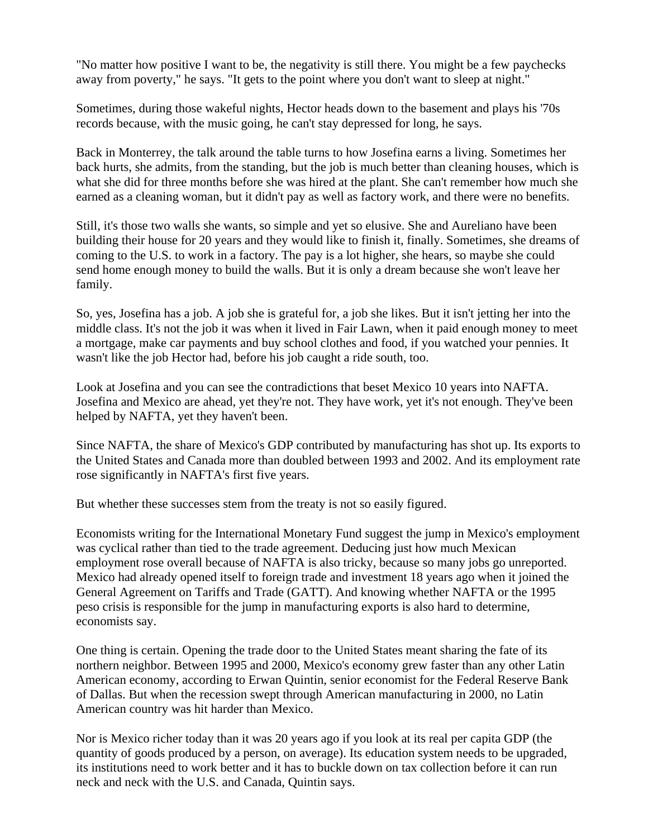"No matter how positive I want to be, the negativity is still there. You might be a few paychecks away from poverty," he says. "It gets to the point where you don't want to sleep at night."

Sometimes, during those wakeful nights, Hector heads down to the basement and plays his '70s records because, with the music going, he can't stay depressed for long, he says.

Back in Monterrey, the talk around the table turns to how Josefina earns a living. Sometimes her back hurts, she admits, from the standing, but the job is much better than cleaning houses, which is what she did for three months before she was hired at the plant. She can't remember how much she earned as a cleaning woman, but it didn't pay as well as factory work, and there were no benefits.

Still, it's those two walls she wants, so simple and yet so elusive. She and Aureliano have been building their house for 20 years and they would like to finish it, finally. Sometimes, she dreams of coming to the U.S. to work in a factory. The pay is a lot higher, she hears, so maybe she could send home enough money to build the walls. But it is only a dream because she won't leave her family.

So, yes, Josefina has a job. A job she is grateful for, a job she likes. But it isn't jetting her into the middle class. It's not the job it was when it lived in Fair Lawn, when it paid enough money to meet a mortgage, make car payments and buy school clothes and food, if you watched your pennies. It wasn't like the job Hector had, before his job caught a ride south, too.

Look at Josefina and you can see the contradictions that beset Mexico 10 years into NAFTA. Josefina and Mexico are ahead, yet they're not. They have work, yet it's not enough. They've been helped by NAFTA, yet they haven't been.

Since NAFTA, the share of Mexico's GDP contributed by manufacturing has shot up. Its exports to the United States and Canada more than doubled between 1993 and 2002. And its employment rate rose significantly in NAFTA's first five years.

But whether these successes stem from the treaty is not so easily figured.

Economists writing for the International Monetary Fund suggest the jump in Mexico's employment was cyclical rather than tied to the trade agreement. Deducing just how much Mexican employment rose overall because of NAFTA is also tricky, because so many jobs go unreported. Mexico had already opened itself to foreign trade and investment 18 years ago when it joined the General Agreement on Tariffs and Trade (GATT). And knowing whether NAFTA or the 1995 peso crisis is responsible for the jump in manufacturing exports is also hard to determine, economists say.

One thing is certain. Opening the trade door to the United States meant sharing the fate of its northern neighbor. Between 1995 and 2000, Mexico's economy grew faster than any other Latin American economy, according to Erwan Quintin, senior economist for the Federal Reserve Bank of Dallas. But when the recession swept through American manufacturing in 2000, no Latin American country was hit harder than Mexico.

Nor is Mexico richer today than it was 20 years ago if you look at its real per capita GDP (the quantity of goods produced by a person, on average). Its education system needs to be upgraded, its institutions need to work better and it has to buckle down on tax collection before it can run neck and neck with the U.S. and Canada, Quintin says.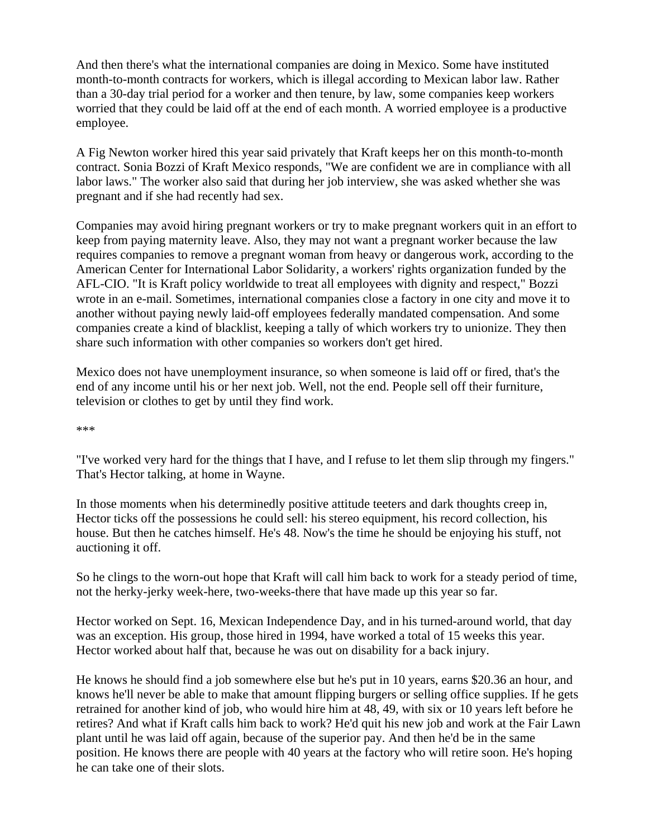And then there's what the international companies are doing in Mexico. Some have instituted month-to-month contracts for workers, which is illegal according to Mexican labor law. Rather than a 30-day trial period for a worker and then tenure, by law, some companies keep workers worried that they could be laid off at the end of each month. A worried employee is a productive employee.

A Fig Newton worker hired this year said privately that Kraft keeps her on this month-to-month contract. Sonia Bozzi of Kraft Mexico responds, "We are confident we are in compliance with all labor laws." The worker also said that during her job interview, she was asked whether she was pregnant and if she had recently had sex.

Companies may avoid hiring pregnant workers or try to make pregnant workers quit in an effort to keep from paying maternity leave. Also, they may not want a pregnant worker because the law requires companies to remove a pregnant woman from heavy or dangerous work, according to the American Center for International Labor Solidarity, a workers' rights organization funded by the AFL-CIO. "It is Kraft policy worldwide to treat all employees with dignity and respect," Bozzi wrote in an e-mail. Sometimes, international companies close a factory in one city and move it to another without paying newly laid-off employees federally mandated compensation. And some companies create a kind of blacklist, keeping a tally of which workers try to unionize. They then share such information with other companies so workers don't get hired.

Mexico does not have unemployment insurance, so when someone is laid off or fired, that's the end of any income until his or her next job. Well, not the end. People sell off their furniture, television or clothes to get by until they find work.

\*\*\*

"I've worked very hard for the things that I have, and I refuse to let them slip through my fingers." That's Hector talking, at home in Wayne.

In those moments when his determinedly positive attitude teeters and dark thoughts creep in, Hector ticks off the possessions he could sell: his stereo equipment, his record collection, his house. But then he catches himself. He's 48. Now's the time he should be enjoying his stuff, not auctioning it off.

So he clings to the worn-out hope that Kraft will call him back to work for a steady period of time, not the herky-jerky week-here, two-weeks-there that have made up this year so far.

Hector worked on Sept. 16, Mexican Independence Day, and in his turned-around world, that day was an exception. His group, those hired in 1994, have worked a total of 15 weeks this year. Hector worked about half that, because he was out on disability for a back injury.

He knows he should find a job somewhere else but he's put in 10 years, earns \$20.36 an hour, and knows he'll never be able to make that amount flipping burgers or selling office supplies. If he gets retrained for another kind of job, who would hire him at 48, 49, with six or 10 years left before he retires? And what if Kraft calls him back to work? He'd quit his new job and work at the Fair Lawn plant until he was laid off again, because of the superior pay. And then he'd be in the same position. He knows there are people with 40 years at the factory who will retire soon. He's hoping he can take one of their slots.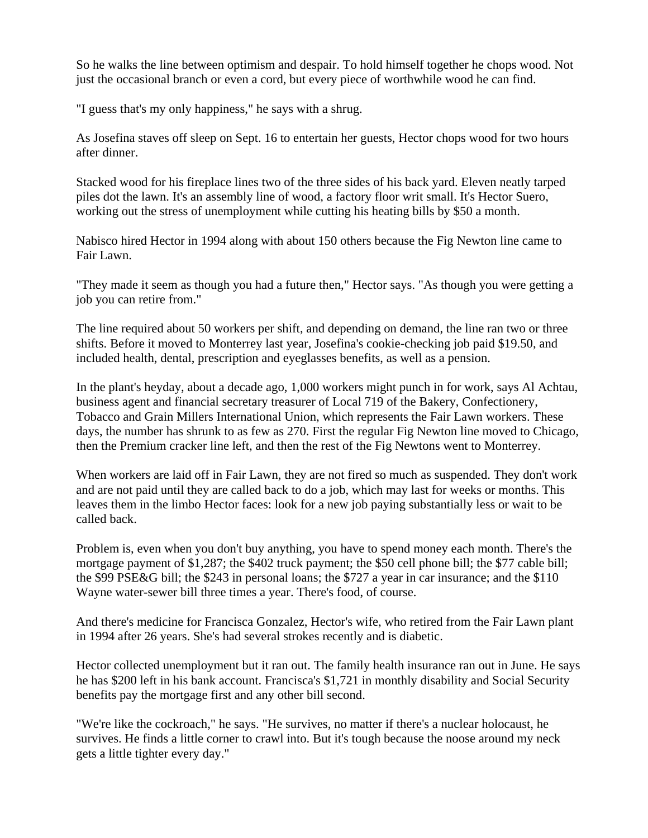So he walks the line between optimism and despair. To hold himself together he chops wood. Not just the occasional branch or even a cord, but every piece of worthwhile wood he can find.

"I guess that's my only happiness," he says with a shrug.

As Josefina staves off sleep on Sept. 16 to entertain her guests, Hector chops wood for two hours after dinner.

Stacked wood for his fireplace lines two of the three sides of his back yard. Eleven neatly tarped piles dot the lawn. It's an assembly line of wood, a factory floor writ small. It's Hector Suero, working out the stress of unemployment while cutting his heating bills by \$50 a month.

Nabisco hired Hector in 1994 along with about 150 others because the Fig Newton line came to Fair Lawn.

"They made it seem as though you had a future then," Hector says. "As though you were getting a job you can retire from."

The line required about 50 workers per shift, and depending on demand, the line ran two or three shifts. Before it moved to Monterrey last year, Josefina's cookie-checking job paid \$19.50, and included health, dental, prescription and eyeglasses benefits, as well as a pension.

In the plant's heyday, about a decade ago, 1,000 workers might punch in for work, says Al Achtau, business agent and financial secretary treasurer of Local 719 of the Bakery, Confectionery, Tobacco and Grain Millers International Union, which represents the Fair Lawn workers. These days, the number has shrunk to as few as 270. First the regular Fig Newton line moved to Chicago, then the Premium cracker line left, and then the rest of the Fig Newtons went to Monterrey.

When workers are laid off in Fair Lawn, they are not fired so much as suspended. They don't work and are not paid until they are called back to do a job, which may last for weeks or months. This leaves them in the limbo Hector faces: look for a new job paying substantially less or wait to be called back.

Problem is, even when you don't buy anything, you have to spend money each month. There's the mortgage payment of \$1,287; the \$402 truck payment; the \$50 cell phone bill; the \$77 cable bill; the \$99 PSE&G bill; the \$243 in personal loans; the \$727 a year in car insurance; and the \$110 Wayne water-sewer bill three times a year. There's food, of course.

And there's medicine for Francisca Gonzalez, Hector's wife, who retired from the Fair Lawn plant in 1994 after 26 years. She's had several strokes recently and is diabetic.

Hector collected unemployment but it ran out. The family health insurance ran out in June. He says he has \$200 left in his bank account. Francisca's \$1,721 in monthly disability and Social Security benefits pay the mortgage first and any other bill second.

"We're like the cockroach," he says. "He survives, no matter if there's a nuclear holocaust, he survives. He finds a little corner to crawl into. But it's tough because the noose around my neck gets a little tighter every day."